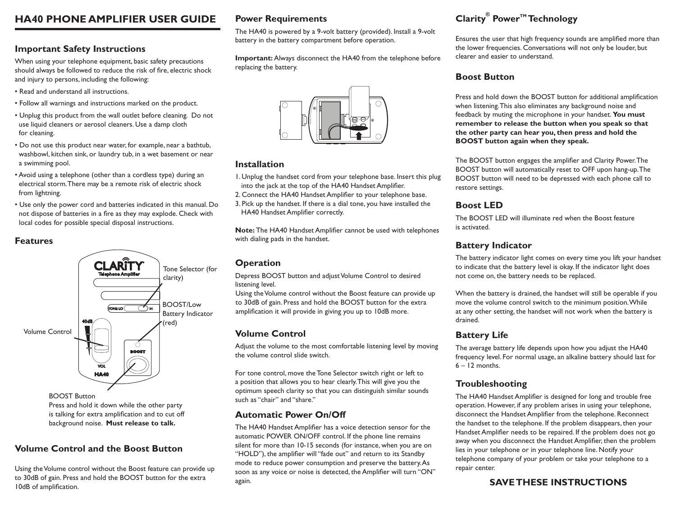# **HA40 PHONE AMPLIFIER USER GUIDE**

# **Important Safety Instructions**

When using your telephone equipment, basic safety precautions should always be followed to reduce the risk of fire, electric shock and injury to persons, including the following:

- Read and understand all instructions.
- Follow all warnings and instructions marked on the product.
- Unplug this product from the wall outlet before cleaning. Do not use liquid cleaners or aerosol cleaners. Use a damp cloth for cleaning.
- Do not use this product near water, for example, near a bathtub, washbowl, kitchen sink, or laundry tub, in a wet basement or near a swimming pool.
- Avoid using a telephone (other than a cordless type) during an electrical storm. There may be a remote risk of electric shock from lightning.
- Use only the power cord and batteries indicated in this manual. Do not dispose of batteries in a fire as they may explode. Check with local codes for possible special disposal instructions.

## **Features**



Press and hold it down while the other party is talking for extra amplification and to cut off background noise. **Must release to talk.**

## **Volume Control and the Boost Button**

Using the Volume control without the Boost feature can provide up to 30dB of gain. Press and hold the BOOST button for the extra 10dB of amplification.

## **Power Requirements**

The HA40 is powered by a 9-volt battery (provided). Install a 9-volt battery in the battery compartment before operation.

**Important:** Always disconnect the HA40 from the telephone before replacing the battery.



### **Installation**

- 1. Unplug the handset cord from your telephone base. Insert this plug into the jack at the top of the HA40 Handset Amplifier.
- 2. Connect the HA40 Handset Amplifier to your telephone base.
- 3. Pick up the handset. If there is a dial tone, you have installed the HA40 Handset Amplifier correctly.

**Note:** The HA40 Handset Amplifier cannot be used with telephones with dialing pads in the handset.

## **Operation**

Depress BOOST button and adjust Volume Control to desired listening level.

Using the Volume control without the Boost feature can provide up to 30dB of gain. Press and hold the BOOST button for the extra amplification it will provide in giving you up to 10dB more.

## **Volume Control**

Adjust the volume to the most comfortable listening level by moving the volume control slide switch.

For tone control, move the Tone Selector switch right or left to a position that allows you to hear clearly. This will give you the optimum speech clarity so that you can distinguish similar sounds such as "chair" and "share."

## **Automatic Power On/Off**

The HA40 Handset Amplifier has a voice detection sensor for the automatic POWER ON/OFF control. If the phone line remains silent for more than 10-15 seconds (for instance, when you are on "HOLD"), the amplifier will "fade out" and return to its Standby mode to reduce power consumption and preserve the battery. As soon as any voice or noise is detected, the Amplifier will turn "ON" again.

# **Clarity® Power™ Technology**

Ensures the user that high frequency sounds are amplified more than the lower frequencies. Conversations will not only be louder, but clearer and easier to understand.

## **Boost Button**

Press and hold down the BOOST button for additional amplification when listening. This also eliminates any background noise and feedback by muting the microphone in your handset. **You must remember to release the button when you speak so that the other party can hear you, then press and hold the BOOST button again when they speak.**

The BOOST button engages the amplifier and Clarity Power. The BOOST button will automatically reset to OFF upon hang-up. The BOOST button will need to be depressed with each phone call to restore settings.

## **Boost LED**

The BOOST LED will illuminate red when the Boost feature is activated.

## **Battery Indicator**

The battery indicator light comes on every time you lift your handset to indicate that the battery level is okay. If the indicator light does not come on, the battery needs to be replaced.

When the battery is drained, the handset will still be operable if you move the volume control switch to the minimum position. While at any other setting, the handset will not work when the battery is drained.

## **Battery Life**

The average battery life depends upon how you adjust the HA40 frequency level. For normal usage, an alkaline battery should last for  $6 - 12$  months.

## **Troubleshooting**

The HA40 Handset Amplifier is designed for long and trouble free operation. However, if any problem arises in using your telephone, disconnect the Handset Amplifier from the telephone. Reconnect the handset to the telephone. If the problem disappears, then your Handset Amplifier needs to be repaired. If the problem does not go away when you disconnect the Handset Amplifier, then the problem lies in your telephone or in your telephone line. Notify your telephone company of your problem or take your telephone to a repair center.

## **SAVE THESE INSTRUCTIONS**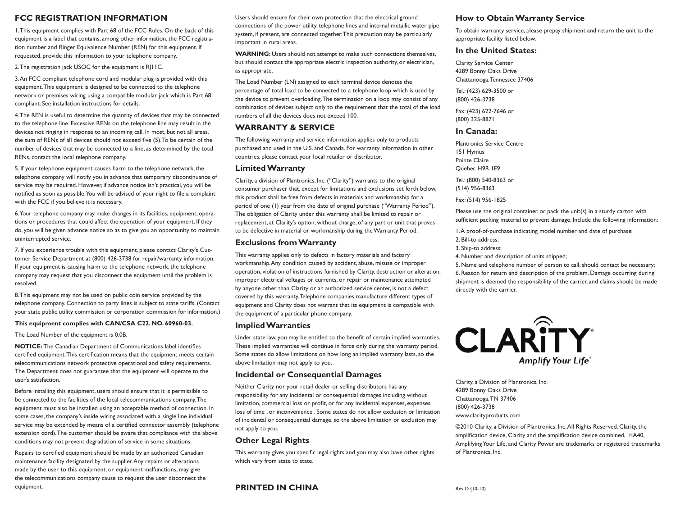### **FCC Registration Information**

1. This equipment complies with Part 68 of the FCC Rules. On the back of this equipment is a label that contains, among other information, the FCC registration number and Ringer Equivalence Number (REN) for this equipment. If requested, provide this information to your telephone company.

2. The registration jack USOC for the equipment is RJ11C.

3. An FCC compliant telephone cord and modular plug is provided with this equipment. This equipment is designed to be connected to the telephone network or premises wiring using a compatible modular jack which is Part 68 compliant. See installation instructions for details.

4. The REN is useful to determine the quantity of devices that may be connected to the telephone line. Excessive RENs on the telephone line may result in the devices not ringing in response to an incoming call. In most, but not all areas, the sum of RENs of all devices should not exceed five (5). To be certain of the number of devices that may be connected to a line, as determined by the total RENs, contact the local telephone company.

5. If your telephone equipment causes harm to the telephone network, the telephone company will notify you in advance that temporary discontinuance of service may be required. However, if advance notice isn't practical, you will be notified as soon as possible. You will be advised of your right to file a complaint with the FCC if you believe it is necessary.

6. Your telephone company may make changes in its facilities, equipment, operations or procedures that could affect the operation of your equipment. If they do, you will be given advance notice so as to give you an opportunity to maintain uninterrupted service.

7. If you experience trouble with this equipment, please contact Clarity's Customer Service Department at (800) 426-3738 for repair/warranty information. If your equipment is causing harm to the telephone network, the telephone company may request that you disconnect the equipment until the problem is resolved.

8. This equipment may not be used on public coin service provided by the telephone company. Connection to party lines is subject to state tariffs. (Contact your state public utility commission or corporation commission for information.)

### **This equipment complies with CAN/CSA C22. NO. 60960-03.**

The Load Number of the equipment is 0.0B.

**NOTICE:** The Canadian Department of Communications label identifies certified equipment. This certification means that the equipment meets certain telecommunications network protective operational and safety requirements. The Department does not guarantee that the equipment will operate to the user's satisfaction.

Before installing this equipment, users should ensure that it is permissible to be connected to the facilities of the local telecommunications company. The equipment must also be installed using an acceptable method of connection. In some cases, the company's inside wiring associated with a single line individual service may be extended by means of a certified connector assembly (telephone extension cord). The customer should be aware that compliance with the above conditions may not prevent degradation of service in some situations.

Repairs to certified equipment should be made by an authorized Canadian maintenance facility designated by the supplier. Any repairs or alterations made by the user to this equipment, or equipment malfunctions, may give the telecommunications company cause to request the user disconnect the equipment.

Users should ensure for their own protection that the electrical ground connections of the power utility, telephone lines and internal metallic water pipe system, if present, are connected together. This precaution may be particularly important in rural areas.

**WARNING:** Users should not attempt to make such connections themselves, but should contact the appropriate electric inspection authority, or electrician, as appropriate.

The Load Number (LN) assigned to each terminal device denotes the percentage of total load to be connected to a telephone loop which is used by the device to prevent overloading. The termination on a loop may consist of any combination of devices subject only to the requirement that the total of the load numbers of all the devices does not exceed 100.

### **WARRANTY & SERVICE**

The following warranty and service information applies only to products purchased and used in the U.S. and Canada. For warranty information in other countries, please contact your local retailer or distributor.

### **Limited Warranty**

Clarity, a division of Plantronics, Inc. ("Clarity") warrants to the original consumer purchaser that, except for limitations and exclusions set forth below, this product shall be free from defects in materials and workmanship for a period of one (1) year from the date of original purchase ("Warranty Period"). The obligation of Clarity under this warranty shall be limited to repair or replacement, at Clarity's option, without charge, of any part or unit that proves to be defective in material or workmanship during the Warranty Period.

### **Exclusions from Warranty**

This warranty applies only to defects in factory materials and factory workmanship. Any condition caused by accident, abuse, misuse or improper operation, violation of instructions furnished by Clarity, destruction or alteration, improper electrical voltages or currents, or repair or maintenance attempted by anyone other than Clarity or an authorized service center, is not a defect covered by this warranty. Telephone companies manufacture different types of equipment and Clarity does not warrant that its equipment is compatible with the equipment of a particular phone company.

#### **Implied Warranties**

Under state law, you may be entitled to the benefit of certain implied warranties. These implied warranties will continue in force only during the warranty period. Some states do allow limitations on how long an implied warranty lasts, so the above limitation may not apply to you.

### **Incidental or Consequential Damages**

Neither Clarity nor your retail dealer or selling distributors has any responsibility for any incidental or consequential damages including without limitation, commercial loss or profit, or for any incidental expenses, expenses, loss of time , or inconvenience . Some states do not allow exclusion or limitation of incidental or consequential damage, so the above limitation or exclusion may not apply to you.

### **Other Legal Rights**

This warranty gives you specific legal rights and you may also have other rights which vary from state to state.

### **How to Obtain Warranty Service**

To obtain warranty service, please prepay shipment and return the unit to the appropriate facility listed below.

### **In the United States:**

Clarity Service Center 4289 Bonny Oaks Drive Chattanooga, Tennessee 37406

Tel.: (423) 629-3500 or (800) 426-3738

Fax: (423) 622-7646 or (800) 325-8871

### **In Canada:**

Plantronics Service Centre 151 Hymus Pointe Claire Quebec H9R 1E9 Tel.: (800) 540-8363 or (514) 956-8363

Fax: (514) 956-1825

Please use the original container, or pack the unit(s) in a sturdy carton with sufficient packing material to prevent damage. Include the following information:

1. A proof-of-purchase indicating model number and date of purchase;

- 2. Bill-to address;
- 3. Ship-to address;
- 4. Number and description of units shipped;

5. Name and telephone number of person to call, should contact be necessary; 6. Reason for return and description of the problem. Damage occurring during shipment is deemed the responsibility of the carrier, and claims should be made directly with the carrier.



Clarity, a Division of Plantronics, Inc. 4289 Bonny Oaks Drive Chattanooga, TN 37406 (800) 426-3738 www.clarityproducts.com

©2010 Clarity, a Division of Plantronics, Inc. All Rights Reserved. Clarity, the amplification device, Clarity and the amplification device combined, HA40, Amplifying Your Life, and Clarity Power are trademarks or registered trademarks of Plantronics, Inc.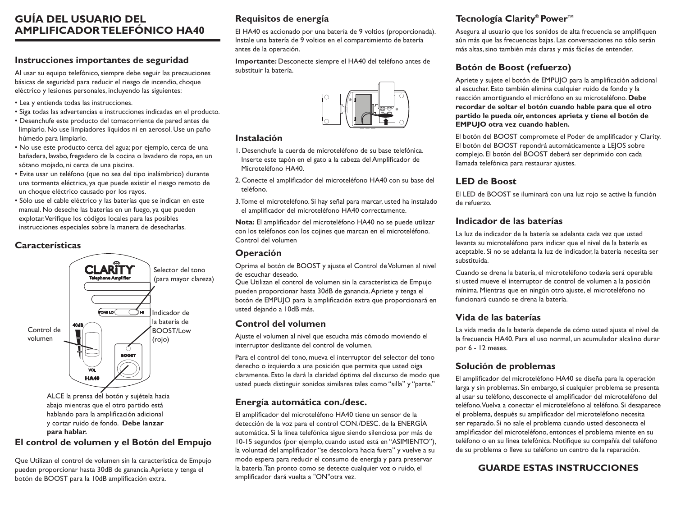# **GUÍA DEL USUARIO DEL AMPLIFICADOR TELEFÓNICO HA40**

## **Instrucciones importantes de seguridad**

Al usar su equipo telefónico, siempre debe seguir las precauciones básicas de seguridad para reducir el riesgo de incendio, choque eléctrico y lesiones personales, incluyendo las siguientes:

- Lea y entienda todas las instrucciones.
- Siga todas las advertencias e instrucciones indicadas en el producto.
- Desenchufe este producto del tomacorriente de pared antes de limpiarlo. No use limpiadores líquidos ni en aerosol. Use un paño húmedo para limpiarlo.
- No use este producto cerca del agua; por ejemplo, cerca de una bañadera, lavabo, fregadero de la cocina o lavadero de ropa, en un sótano mojado, ni cerca de una piscina.
- Evite usar un teléfono (que no sea del tipo inalámbrico) durante una tormenta eléctrica, ya que puede existir el riesgo remoto de un choque eléctrico causado por los rayos.
- Sólo use el cable eléctrico y las baterías que se indican en este manual. No deseche las baterías en un fuego, ya que pueden explotar. Verifique los códigos locales para las posibles instrucciones especiales sobre la manera de desecharlas.

# **Características**



hablando para la amplificación adicional y cortar ruido de fondo. **Debe lanzar para hablar.** 

## **El control de volumen y el Botón del Empujo**

Que Utilizan el control de volumen sin la característica de Empujo pueden proporcionar hasta 30dB de ganancia. Apriete y tenga el botón de BOOST para la 10dB amplificación extra.

# **Requisitos de energía**

El HA40 es accionado por una batería de 9 voltios (proporcionada). Instale una batería de 9 voltios en el compartimiento de batería antes de la operación.

**Importante:** Desconecte siempre el HA40 del teléfono antes de substituir la batería.



## **Instalación**

- 1. Desenchufe la cuerda de microteléfono de su base telefónica. Inserte este tapón en el gato a la cabeza del Amplificador de Microteléfono HA40.
- 2. Conecte el amplificador del microteléfono HA40 con su base del teléfono.
- 3. Tome el microteléfono. Si hay señal para marcar, usted ha instalado el amplificador del microteléfono HA40 correctamente.

**Nota:** El amplificador del microteléfono HA40 no se puede utilizar con los teléfonos con los cojines que marcan en el microteléfono. Control del volumen

### **Operación**

Oprima el botón de BOOST y ajuste el Control de Volumen al nivel de escuchar deseado.

Que Utilizan el control de volumen sin la característica de Empujo pueden proporcionar hasta 30dB de ganancia. Apriete y tenga el botón de EMPUJO para la amplificación extra que proporcionará en usted dejando a 10dB más.

## **Control del volumen**

Ajuste el volumen al nivel que escucha más cómodo moviendo el interruptor deslizante del control de volumen.

Para el control del tono, mueva el interruptor del selector del tono derecho o izquierdo a una posición que permita que usted oiga claramente. Esto le dará la claridad óptima del discurso de modo que usted pueda distinguir sonidos similares tales como "silla" y "parte."

## **Energía automática con./desc.**

El amplificador del microteléfono HA40 tiene un sensor de la detección de la voz para el control CON./DESC. de la ENERGÍA automática. Si la línea telefónica sigue siendo silenciosa por más de 10-15 segundos (por ejemplo, cuando usted está en "ASIMIENTO"), la voluntad del amplificador "se descolora hacia fuera" y vuelve a su modo espera para reducir el consumo de energía y para preservar la batería. Tan pronto como se detecte cualquier voz o ruido, el amplificador dará vuelta a "ON"otra vez.

# **Tecnología Clarity®** Power<sup>™</sup>

Asegura al usuario que los sonidos de alta frecuencia se amplifiquen aún más que las frecuencias bajas. Las conversaciones no sólo serán más altas, sino también más claras y más fáciles de entender.

# **Botón de Boost (refuerzo)**

Apriete y sujete el botón de EMPUJO para la amplificación adicional al escuchar. Esto también elimina cualquier ruido de fondo y la reacción amortiguando el micrófono en su microteléfono. **Debe recordar de soltar el botón cuando hable para que el otro partido le pueda oír, entonces aprieta y tiene el botón de EMPUJO otra vez cuando hablen.**

El botón del BOOST compromete el Poder de amplificador y Clarity. El botón del BOOST repondrá automáticamente a LEJOS sobre complejo. El botón del BOOST deberá ser deprimido con cada llamada telefónica para restaurar ajustes.

# **LED de Boost**

El LED de BOOST se iluminará con una luz rojo se active la función de refuerzo.

## **Indicador de las baterías**

La luz de indicador de la batería se adelanta cada vez que usted levanta su microteléfono para indicar que el nivel de la batería es aceptable. Si no se adelanta la luz de indicador, la batería necesita ser substituida.

Cuando se drena la batería, el microteléfono todavía será operable si usted mueve el interruptor de control de volumen a la posición mínima. Mientras que en ningún otro ajuste, el microteléfono no funcionará cuando se drena la batería.

## **Vida de las baterías**

La vida media de la batería depende de cómo usted ajusta el nivel de la frecuencia HA40. Para el uso normal, un acumulador alcalino durar por 6 - 12 meses.

## **Solución de problemas**

El amplificador del microteléfono HA40 se diseña para la operación larga y sin problemas. Sin embargo, si cualquier problema se presenta al usar su teléfono, desconecte el amplificador del microteléfono del teléfono. Vuelva a conectar el microteléfono al teléfono. Si desaparece el problema, después su amplificador del microteléfono necesita ser reparado. Si no sale el problema cuando usted desconecta el amplificador del microteléfono, entonces el problema miente en su teléfono o en su línea telefónica. Notifique su compañía del teléfono de su problema o lleve su teléfono un centro de la reparación.

# **GUARDE ESTAS INSTRUCCIONES**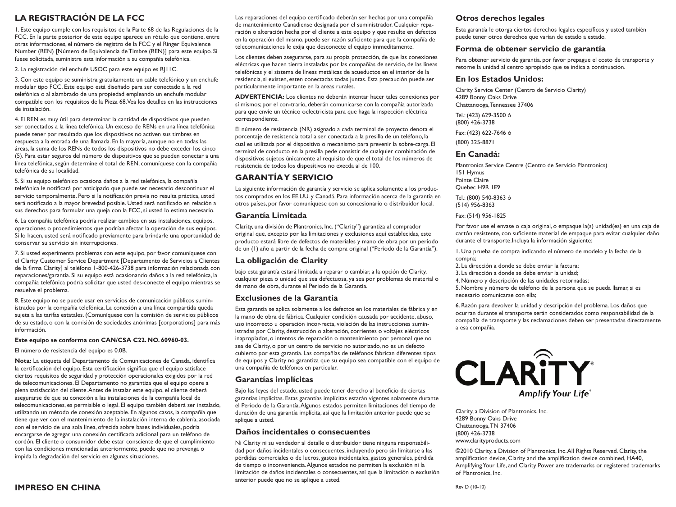## **La Registración de la FCC**

1. Este equipo cumple con los requisitos de la Parte 68 de las Regulaciones de la FCC. En la parte posterior de este equipo aparece un rótulo que contiene, entre otras informaciones, el número de registro de la FCC y el Ringer Equivalence Number (REN) [Número de Equivalencia de Timbre (REN)] para este equipo. Si fuese solicitada, suministre esta información a su compañía telefónica.

2. La registración del enchufe USOC para este equipo es RJ11C.

3. Con este equipo se suministra gratuitamente un cable telefónico y un enchufe modular tipo FCC. Este equipo está diseñado para ser conectado a la red telefónica o al alambrado de una propiedad empleando un enchufe modular compatible con los requisitos de la Pieza 68. Vea los detalles en las instrucciones de instalación.

4. El REN es muy útil para determinar la cantidad de dispositivos que pueden ser conectados a la línea telefónica. Un exceso de RENs en una línea telefónica puede tener por resultado que los dispositivos no activen sus timbres en respuesta a la entrada de una llamada. En la mayoría, aunque no en todas las áreas, la suma de los RENs de todos los dispositivos no debe exceder los cinco (5). Para estar seguros del número de dispositivos que se pueden conectar a una línea telefónica, según determine el total de REN, comuníquese con la compañía telefónica de su localidad.

5. Si su equipo telefónico ocasiona daños a la red telefónica, la compañía telefónica le notificará por anticipado que puede ser necesario descontinuar el servicio temporalmente. Pero si la notificación previa no resulta práctica, usted será notificado a la mayor brevedad posible. Usted será notificado en relación a sus derechos para formular una queja con la FCC, si usted lo estima necesario.

6. La compañía telefónica podría realizar cambios en sus instalaciones, equipos, operaciones o procedimientos que podrían afectar la operación de sus equipos. Si lo hacen, usted será notificado previamente para brindarle una oportunidad de conservar su servicio sin interrupciones.

7. Si usted experimenta problemas con este equipo, por favor comuníquese con el Clarity Customer Service Department [Departamento de Servicios a Clientes de la firma Clarity] al teléfono 1-800-426-3738 para información relacionada con reparaciones/garantía. Si su equipo está ocasionando daños a la red telefónica, la compañía telefónica podría solicitar que usted des-conecte el equipo mientras se resuelve el problema.

8. Este equipo no se puede usar en servicios de comunicación públicos suministrados por la compañía telefónica. La conexión a una línea compartida queda sujeta a las tarifas estatales. (Comuníquese con la comisión de servicios públicos de su estado, o con la comisión de sociedades anónimas [corporations] para más información.

#### **Este equipo se conforma con CAN/CSA C22. NO. 60960-03.**

El número de resistencia del equipo es 0.0B.

**Nota:** La etiqueta del Departamento de Comunicaciones de Canada, identifica la certificación del equipo. Esta certificación significa que el equipo satisface ciertos requisitos de seguridad y protección operacionales exigidos por la red de telecomunicaciones. El Departamento no garantiza que el equipo opere a plena satisfacción del cliente. Antes de instalar este equipo, el cliente deberá asegurarse de que su conexión a las instalaciones de la compañía local de telecomunicaciones, es permisible o legal. El equipo también deberá ser instalado, utilizando un método de conexión aceptable. En algunos casos, la compañía que tiene que ver con el mantenimiento de la instalación interna de cablería, asociada con el servicio de una sola línea, ofrecida sobre bases individuales, podría encargarse de agregar una conexión certificada adicional para un teléfono de cordón. El cliente o consumidor debe estar consciente de que el cumplimiento con las condiciones mencionadas anteriormente, puede que no prevenga o impida la degradación del servicio en algunas situaciones.

Las reparaciones del equipo certificado deberán ser hechas por una compañía de mantenimiento Canadiense designada por el suministrador. Cualquier reparación o alteración hecha por el cliente a este equipo y que resulte en defectos en la operación del mismo, puede ser razón suficiente para que la compañía de telecomunicaciones le exija que desconecte el equipo immeditamente.

Los clientes deben asegurarse, para su propia protección, de que las conexiones eléctricas que hacen tierra instaladas por las compañías de servicio, de las líneas telefónicas y el sistema de líneas metálicas de acueductos en el interior de la residencia, si existen, esten conectadas todas juntas. Esta precaución puede ser particularmente importante en la areas rurales.

**ADVERTENCIA:** Los clientes no deberán intentar hacer tales conexiones por sí mismos; por el con-trario, deberán comunicarse con la compañía autorizada para que envíe un técnico oelectricista para que haga la inspección eléctrica correspondiente.

El número de resistencia (NR) asignado a cada terminal de proyecto denota el porcentaje de resistencia total a ser conectada a la presilla de un teléfono, la cual es utilizada por el dispositivo o mecanismo para prevenir la sobre-carga. El terminal de conducto en la presilla pede consistir de cualquier combinación de dispositivos sujetos únicamente al requisito de que el total de los números de resistencia de todos los dispositivos no execda al de 100.

### **GARANTÍA Y SERVICIO**

La siguiente información de garantía y servicio se aplica solamente a los productos comprados en los EE.UU. y Canadá. Para información acerca de la garantía en otros países, por favor comuníquese con su concesionario o distribuidor local.

### **Garantía Limitada**

Clarity, una división de Plantronics, Inc. ("Clarity") garantiza al comprador original que, excepto por las limitaciones y exclusiones aquí establecidas, este producto estará libre de defectos de materiales y mano de obra por un período de un (1) año a partir de la fecha de compra original ("Período de la Garantía").

### **La obligación de Clarity**

bajo esta garantía estará limitada a reparar o cambiar, a la opción de Clarity, cualquier pieza o unidad que sea defectuosa, ya sea por problemas de material o de mano de obra, durante el Período de la Garantía.

#### **Exclusiones de la Garantía**

Esta garantía se aplica solamente a los defectos en los materiales de fábrica y en la mano de obra de fábrica. Cualquier condición causada por accidente, abuso, uso incorrecto u operación incor-recta, violación de las instrucciones suministradas por Clarity, destrucción o alteración, corrientes o voltajes eléctricos inapropiados, o intentos de reparación o mantenimiento por personal que no sea de Clarity, o por un centro de servicio no autorizado, no es un defecto cubierto por esta garantía. Las compañías de teléfonos fabrican diferentes tipos de equipos y Clarity no garantiza que su equipo sea compatible con el equipo de una compañía de teléfonos en particular.

#### **Garantías implícitas**

Bajo las leyes del estado, usted puede tener derecho al beneficio de ciertas garantías implícitas. Estas garantías implícitas estarán vigentes solamente durante el Período de la Garantía. Algunos estados permiten limitaciones del tiempo de duración de una garantía implícita, así que la limitación anterior puede que se aplique a usted.

#### **Daños incidentales o consecuentes**

Ni Clarity ni su vendedor al detalle o distribuidor tiene ninguna responsabilidad por daños incidentales o consecuentes, incluyendo pero sin limitarse a las pérdidas comerciales o de lucros, gastos incidentales, gastos generales, pérdida de tiempo o inconveniencia. Algunos estados no permiten la exclusión ni la limitación de daños incidentales o consecuentes, así que la limitación o exclusión anterior puede que no se aplique a usted.

### **Otros derechos legales**

Esta garantía le otorga ciertos derechos legales específicos y usted también puede tener otros derechos que varían de estado a estado.

### **Forma de obtener servicio de garantía**

Para obtener servicio de garantía, por favor prepague el costo de transporte y retorne la unidad al centro apropiado que se indica a continuación.

### **En los Estados Unidos:**

Clarity Service Center (Centro de Servicio Clarity) 4289 Bonny Oaks Drive Chattanooga, Tennessee 37406

Tel.: (423) 629-3500 ó (800) 426-3738

Fax: (423) 622-7646 ó

(800) 325-8871

### **En Canadá:**

Plantronics Service Centre (Centro de Servicio Plantronics) 151 Hymus Pointe Claire Quebec H9R 1E9

Tel.: (800) 540-8363 ó (514) 956-8363

#### Fax: (514) 956-1825

Por favor use el envase o caja original, o empaque la(s) unidad(es) en una caja de cartón resistente, con suficiente material de empaque para evitar cualquier daño durante el transporte.Incluya la información siguiente:

- 1. Una prueba de compra indicando el número de modelo y la fecha de la compra;
- 2. La dirección a donde se debe enviar la factura;
- 3. La dirección a donde se debe enviar la unidad;
- 4. Número y descripción de las unidades retornadas;

5. Nombre y número de teléfono de la persona que se pueda llamar, si es necesario comunicarse con ella;

6. Razón para devolver la unidad y descripción del problema. Los daños que ocurran durante el transporte serán considerados como responsabilidad de la compañía de transporte y las reclamaciones deben ser presentadas directamente a esa compañía.



Clarity, a Division of Plantronics, Inc. 4289 Bonny Oaks Drive Chattanooga, TN 37406 (800) 426-3738 www.clarityproducts.com

©2010 Clarity, a Division of Plantronics, Inc. All Rights Reserved. Clarity, the amplification device, Clarity and the amplification device combined, HA40, Amplifying Your Life, and Clarity Power are trademarks or registered trademarks of Plantronics, Inc.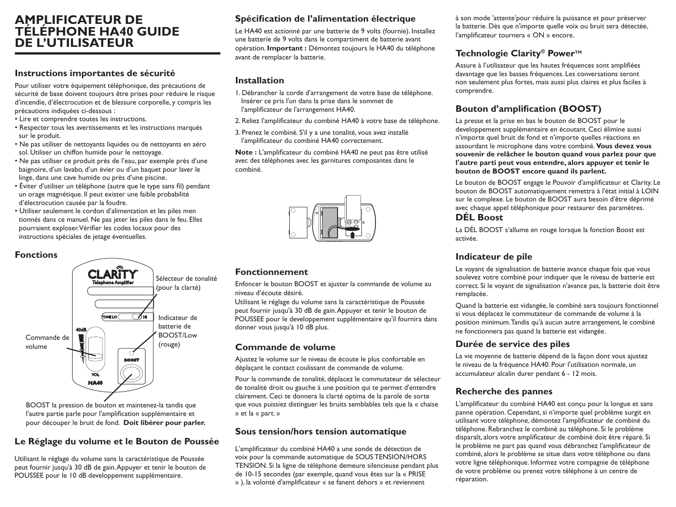# **AMPLIFICATEUR DE TÉLÉPHONE HA40 GUIDE DE L'UTILISATEUR**

## **Instructions importantes de sécurité**

Pour utiliser votre équipement téléphonique, des précautions de sécurité de base doivent toujours être prises pour réduire le risque d'incendie, d'électrocution et de blessure corporelle, y compris les précautions indiquées ci-dessous :

- Lire et comprendre toutes les instructions.
- Respecter tous les avertissements et les instructions marqués sur le produit.
- Ne pas utiliser de nettoyants liquides ou de nettoyants en aéro sol. Utiliser un chiffon humide pour le nettoyage.
- Ne pas utiliser ce produit près de l'eau, par exemple près d'une baignoire, d'un lavabo, d'un évier ou d'un baquet pour laver le linge, dans une cave humide ou près d'une piscine.
- Éviter d'utiliser un téléphone (autre que le type sans fil) pendant un orage magnétique. Il peut exister une faible probabilité d'électrocution causée par la foudre.
- Utiliser seulement le cordon d'alimentation et les piles men tionnés dans ce manuel. Ne pas jeter les piles dans le feu. Elles pourraient exploser. Vérifier les codes locaux pour des instructions spéciales de jetage éventuelles.

### **Fonctions**



BOOST la pression de bouton et maintenez-la tandis que l'autre partie parle pour l'amplification supplémentaire et pour découper le bruit de fond. **Doit libérer pour parler.** 

# **Le Réglage du volume et le Bouton de Poussée**

Utilisant le réglage du volume sans la caractéristique de Poussée peut fournir jusqu'à 30 dB de gain. Appuyer et tenir le bouton de POUSSEE pour le 10 dB developpement supplémentaire.

## **Spécification de l'alimentation électrique**

Le HA40 est actionné par une batterie de 9 volts (fournie). Installez une batterie de 9 volts dans le compartiment de batterie avant opération. **Important :** Démontez toujours le HA40 du téléphone avant de remplacer la batterie.

### **Installation**

- 1. Débrancher la corde d'arrangement de votre base de téléphone. Insérer ce pris l'un dans la prise dans le sommet de l'amplificateur de l'arrangement HA40.
- 2. Reliez l'amplificateur du combiné HA40 à votre base de téléphone.
- 3. Prenez le combiné. S'il y a une tonalité, vous avez installé l'amplificateur du combiné HA40 correctement.

**Note :** L'amplificateur du combiné HA40 ne peut pas être utilisé avec des téléphones avec les garnitures composantes dans le combiné.



## **Fonctionnement**

Enfoncer le bouton BOOST et ajuster la commande de volume au niveau d'écoute désiré.

Utilisant le réglage du volume sans la caractéristique de Poussée peut fournir jusqu'à 30 dB de gain. Appuyer et tenir le bouton de POUSSEE pour le developpement supplémentaire qu'il fournira dans donner vous jusqu'à 10 dB plus.

### **Commande de volume**

Ajustez le volume sur le niveau de écoute le plus confortable en déplaçant le contact coulissant de commande de volume.

Pour la commande de tonalité, déplacez le commutateur de sélecteur de tonalité droit ou gauche à une position qui te permet d'entendre clairement. Ceci te donnera la clarté optima de la parole de sorte que vous puissiez distinguer les bruits semblables tels que la « chaise » et la « part. »

### **Sous tension/hors tension automatique**

L'amplificateur du combiné HA40 a une sonde de détection de voix pour la commande automatique de SOUS TENSION/HORS TENSION. Si la ligne de téléphone demeure silencieuse pendant plus de 10-15 secondes (par exemple, quand vous êtes sur la « PRISE » ), la volonté d'amplificateur « se fanent dehors » et reviennent

à son mode 'attente'pour réduire la puissance et pour préserver la batterie. Dès que n'importe quelle voix ou bruit sera détectée, l'amplificateur tournera « ON » encore.

# **Technologie Clarity® Power™**

Assure à l'utilisateur que les hautes fréquences sont amplifiées davantage que les basses fréquences. Les conversations seront non seulement plus fortes, mais aussi plus claires et plus faciles à comprendre.

# **Bouton d'amplification (BOOST)**

La presse et la prise en bas le bouton de BOOST pour le developpement supplémentaire en écoutant. Ceci élimine aussi n'importe quel bruit de fond et n'importe quelles réactions en assourdant le microphone dans votre combiné. **Vous devez vous souvenir de relâcher le bouton quand vous parlez pour que l'autre parti peut vous entendre, alors appuyer et tenir le bouton de BOOST encore quand ils parlent.** 

Le bouton de BOOST engage le Pouvoir d'amplificateur et Clarity. Le bouton de BOOST automatiquement remettra à l'état initial à LOIN sur le complexe. Le bouton de BOOST aura besoin d'être déprimé avec chaque appel téléphonique pour restaurer des paramètres.

## **DÉL Boost**

La DÉL BOOST s'allume en rouge lorsque la fonction Boost est activée.

## **Indicateur de pile**

Le voyant de signalisation de batterie avance chaque fois que vous soulevez votre combiné pour indiquer que le niveau de batterie est correct. Si le voyant de signalisation n'avance pas, la batterie doit être remplacée.

Quand la batterie est vidangée, le combiné sera toujours fonctionnel si vous déplacez le commutateur de commande de volume à la position minimum. Tandis qu'à aucun autre arrangement, le combiné ne fonctionnera pas quand la batterie est vidangée.

## **Durée de service des piles**

La vie moyenne de batterie dépend de la façon dont vous ajustez le niveau de la fréquence HA40. Pour l'utilisation normale, un accumulateur alcalin durer pendant 6 - 12 mois.

## **Recherche des pannes**

L'amplificateur du combiné HA40 est conçu pour la longue et sans panne opération. Cependant, si n'importe quel problème surgit en utilisant votre téléphone, démontez l'amplificateur de combiné du téléphone. Rebranchez le combiné au téléphone. Si le problème disparaît, alors votre amplificateur de combiné doit être réparé. Si le problème ne part pas quand vous débranchez l'amplificateur de combiné, alors le problème se situe dans votre téléphone ou dans votre ligne téléphonique. Informez votre compagnie de téléphone de votre problème ou prenez votre téléphone à un centre de réparation.